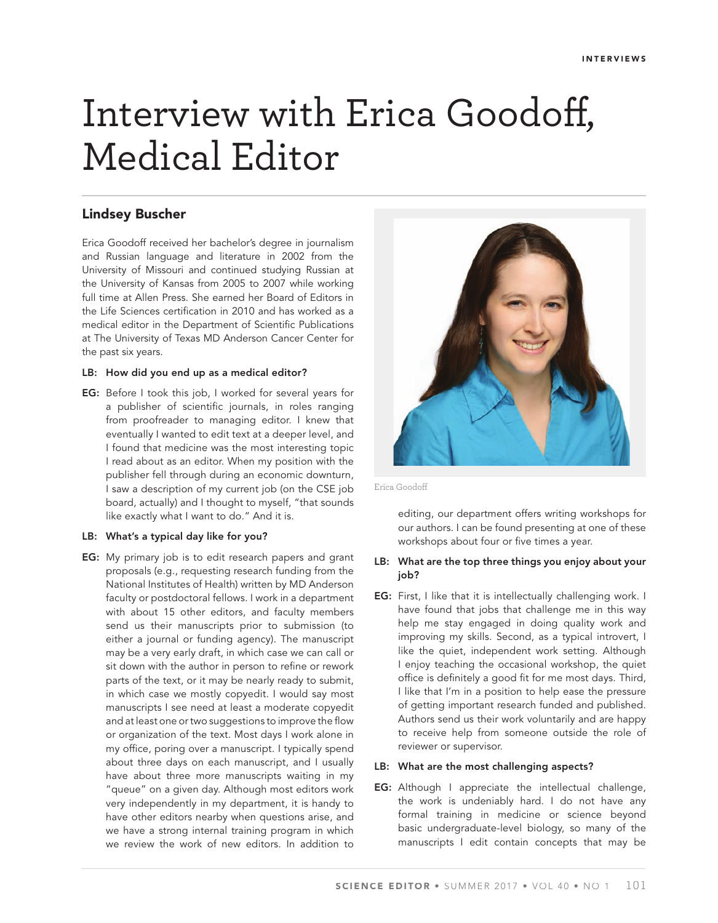# Interview with Erica Goodoff, Medical Editor

# **Lindsey Buscher**

Erica Goodoff received her bachelor's degree in journalism and Russian language and literature in 2002 from the University of Missouri and continued studying Russian at the University of Kansas from 2005 to 2007 while working full time at Allen Press. She earned her Board of Editors in the Life Sciences certification in 2010 and has worked as a medical editor in the Department of Scientific Publications at The University of Texas MD Anderson Cancer Center for the past six years.

#### **LB: How did you end up as a medical editor?**

**EG:** Before I took this job, I worked for several years for a publisher of scientific journals, in roles ranging from proofreader to managing editor. I knew that eventually I wanted to edit text at a deeper level, and I found that medicine was the most interesting topic I read about as an editor. When my position with the publisher fell through during an economic downturn, I saw a description of my current job (on the CSE job board, actually) and I thought to myself, "that sounds like exactly what I want to do." And it is.

# **LB: What's a typical day like for you?**

**EG:** My primary job is to edit research papers and grant proposals (e.g., requesting research funding from the National Institutes of Health) written by MD Anderson faculty or postdoctoral fellows. I work in a department with about 15 other editors, and faculty members send us their manuscripts prior to submission (to either a journal or funding agency). The manuscript may be a very early draft, in which case we can call or sit down with the author in person to refine or rework parts of the text, or it may be nearly ready to submit, in which case we mostly copyedit. I would say most manuscripts I see need at least a moderate copyedit and at least one or two suggestions to improve the flow or organization of the text. Most days I work alone in my office, poring over a manuscript. I typically spend about three days on each manuscript, and I usually have about three more manuscripts waiting in my "queue" on a given day. Although most editors work very independently in my department, it is handy to have other editors nearby when questions arise, and we have a strong internal training program in which we review the work of new editors. In addition to



Erica Goodoff

editing, our department offers writing workshops for our authors. I can be found presenting at one of these workshops about four or five times a year.

# **LB: What are the top three things you enjoy about your job?**

**EG:** First, I like that it is intellectually challenging work. I have found that jobs that challenge me in this way help me stay engaged in doing quality work and improving my skills. Second, as a typical introvert, I like the quiet, independent work setting. Although I enjoy teaching the occasional workshop, the quiet office is definitely a good fit for me most days. Third, I like that I'm in a position to help ease the pressure of getting important research funded and published. Authors send us their work voluntarily and are happy to receive help from someone outside the role of reviewer or supervisor.

#### **LB: What are the most challenging aspects?**

**EG:** Although I appreciate the intellectual challenge, the work is undeniably hard. I do not have any formal training in medicine or science beyond basic undergraduate-level biology, so many of the manuscripts I edit contain concepts that may be